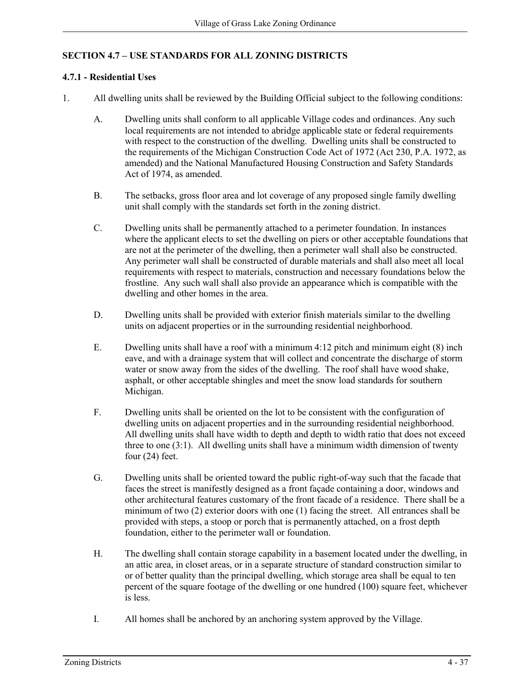# **SECTION 4.7 – USE STANDARDS FOR ALL ZONING DISTRICTS**

#### **4.7.1 - Residential Uses**

- 1. All dwelling units shall be reviewed by the Building Official subject to the following conditions:
	- A. Dwelling units shall conform to all applicable Village codes and ordinances. Any such local requirements are not intended to abridge applicable state or federal requirements with respect to the construction of the dwelling. Dwelling units shall be constructed to the requirements of the Michigan Construction Code Act of 1972 (Act 230, P.A. 1972, as amended) and the National Manufactured Housing Construction and Safety Standards Act of 1974, as amended.
	- B. The setbacks, gross floor area and lot coverage of any proposed single family dwelling unit shall comply with the standards set forth in the zoning district.
	- C. Dwelling units shall be permanently attached to a perimeter foundation. In instances where the applicant elects to set the dwelling on piers or other acceptable foundations that are not at the perimeter of the dwelling, then a perimeter wall shall also be constructed. Any perimeter wall shall be constructed of durable materials and shall also meet all local requirements with respect to materials, construction and necessary foundations below the frostline. Any such wall shall also provide an appearance which is compatible with the dwelling and other homes in the area.
	- D. Dwelling units shall be provided with exterior finish materials similar to the dwelling units on adjacent properties or in the surrounding residential neighborhood.
	- E. Dwelling units shall have a roof with a minimum 4:12 pitch and minimum eight (8) inch eave, and with a drainage system that will collect and concentrate the discharge of storm water or snow away from the sides of the dwelling. The roof shall have wood shake, asphalt, or other acceptable shingles and meet the snow load standards for southern Michigan.
	- F. Dwelling units shall be oriented on the lot to be consistent with the configuration of dwelling units on adjacent properties and in the surrounding residential neighborhood. All dwelling units shall have width to depth and depth to width ratio that does not exceed three to one (3:1). All dwelling units shall have a minimum width dimension of twenty four (24) feet.
	- G. Dwelling units shall be oriented toward the public right-of-way such that the facade that faces the street is manifestly designed as a front façade containing a door, windows and other architectural features customary of the front facade of a residence. There shall be a minimum of two (2) exterior doors with one (1) facing the street. All entrances shall be provided with steps, a stoop or porch that is permanently attached, on a frost depth foundation, either to the perimeter wall or foundation.
	- H. The dwelling shall contain storage capability in a basement located under the dwelling, in an attic area, in closet areas, or in a separate structure of standard construction similar to or of better quality than the principal dwelling, which storage area shall be equal to ten percent of the square footage of the dwelling or one hundred (100) square feet, whichever is less.
	- I. All homes shall be anchored by an anchoring system approved by the Village.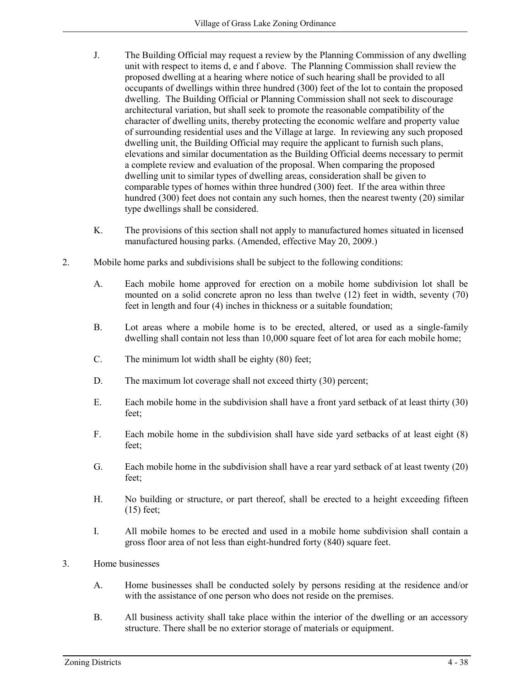- J. The Building Official may request a review by the Planning Commission of any dwelling unit with respect to items d, e and f above. The Planning Commission shall review the proposed dwelling at a hearing where notice of such hearing shall be provided to all occupants of dwellings within three hundred (300) feet of the lot to contain the proposed dwelling. The Building Official or Planning Commission shall not seek to discourage architectural variation, but shall seek to promote the reasonable compatibility of the character of dwelling units, thereby protecting the economic welfare and property value of surrounding residential uses and the Village at large. In reviewing any such proposed dwelling unit, the Building Official may require the applicant to furnish such plans, elevations and similar documentation as the Building Official deems necessary to permit a complete review and evaluation of the proposal. When comparing the proposed dwelling unit to similar types of dwelling areas, consideration shall be given to comparable types of homes within three hundred (300) feet. If the area within three hundred (300) feet does not contain any such homes, then the nearest twenty (20) similar type dwellings shall be considered.
- K. The provisions of this section shall not apply to manufactured homes situated in licensed manufactured housing parks. (Amended, effective May 20, 2009.)
- 2. Mobile home parks and subdivisions shall be subject to the following conditions:
	- A. Each mobile home approved for erection on a mobile home subdivision lot shall be mounted on a solid concrete apron no less than twelve (12) feet in width, seventy (70) feet in length and four (4) inches in thickness or a suitable foundation;
	- B. Lot areas where a mobile home is to be erected, altered, or used as a single-family dwelling shall contain not less than 10,000 square feet of lot area for each mobile home;
	- C. The minimum lot width shall be eighty (80) feet;
	- D. The maximum lot coverage shall not exceed thirty (30) percent;
	- E. Each mobile home in the subdivision shall have a front yard setback of at least thirty (30) feet;
	- F. Each mobile home in the subdivision shall have side yard setbacks of at least eight (8) feet;
	- G. Each mobile home in the subdivision shall have a rear yard setback of at least twenty (20) feet;
	- H. No building or structure, or part thereof, shall be erected to a height exceeding fifteen (15) feet;
	- I. All mobile homes to be erected and used in a mobile home subdivision shall contain a gross floor area of not less than eight-hundred forty (840) square feet.
- 3. Home businesses
	- A. Home businesses shall be conducted solely by persons residing at the residence and/or with the assistance of one person who does not reside on the premises.
	- B. All business activity shall take place within the interior of the dwelling or an accessory structure. There shall be no exterior storage of materials or equipment.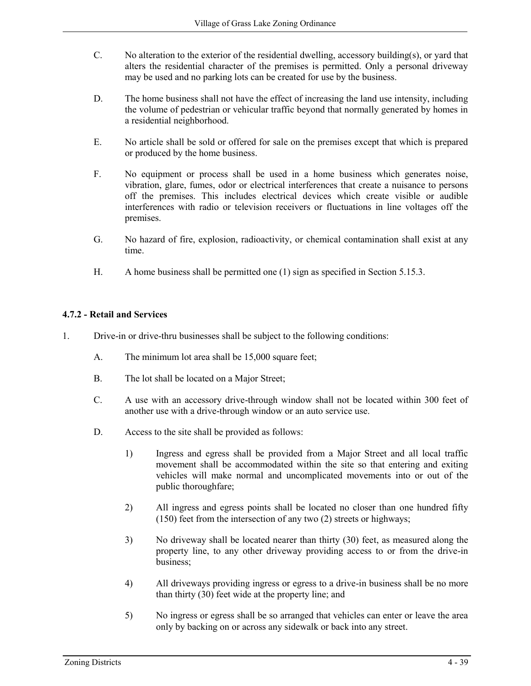- C. No alteration to the exterior of the residential dwelling, accessory building(s), or yard that alters the residential character of the premises is permitted. Only a personal driveway may be used and no parking lots can be created for use by the business.
- D. The home business shall not have the effect of increasing the land use intensity, including the volume of pedestrian or vehicular traffic beyond that normally generated by homes in a residential neighborhood.
- E. No article shall be sold or offered for sale on the premises except that which is prepared or produced by the home business.
- F. No equipment or process shall be used in a home business which generates noise, vibration, glare, fumes, odor or electrical interferences that create a nuisance to persons off the premises. This includes electrical devices which create visible or audible interferences with radio or television receivers or fluctuations in line voltages off the premises.
- G. No hazard of fire, explosion, radioactivity, or chemical contamination shall exist at any time.
- H. A home business shall be permitted one (1) sign as specified in Section 5.15.3.

# **4.7.2 - Retail and Services**

- 1. Drive-in or drive-thru businesses shall be subject to the following conditions:
	- A. The minimum lot area shall be 15,000 square feet;
	- B. The lot shall be located on a Major Street;
	- C. A use with an accessory drive-through window shall not be located within 300 feet of another use with a drive-through window or an auto service use.
	- D. Access to the site shall be provided as follows:
		- 1) Ingress and egress shall be provided from a Major Street and all local traffic movement shall be accommodated within the site so that entering and exiting vehicles will make normal and uncomplicated movements into or out of the public thoroughfare;
		- 2) All ingress and egress points shall be located no closer than one hundred fifty (150) feet from the intersection of any two (2) streets or highways;
		- 3) No driveway shall be located nearer than thirty (30) feet, as measured along the property line, to any other driveway providing access to or from the drive-in business;
		- 4) All driveways providing ingress or egress to a drive-in business shall be no more than thirty (30) feet wide at the property line; and
		- 5) No ingress or egress shall be so arranged that vehicles can enter or leave the area only by backing on or across any sidewalk or back into any street.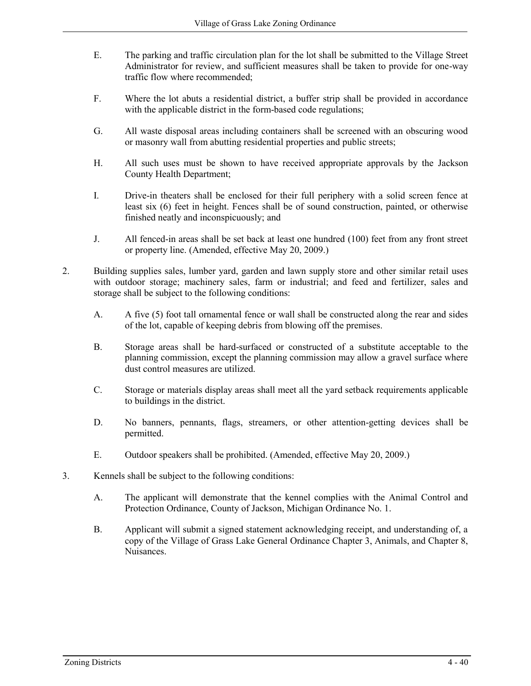- E. The parking and traffic circulation plan for the lot shall be submitted to the Village Street Administrator for review, and sufficient measures shall be taken to provide for one-way traffic flow where recommended;
- F. Where the lot abuts a residential district, a buffer strip shall be provided in accordance with the applicable district in the form-based code regulations;
- G. All waste disposal areas including containers shall be screened with an obscuring wood or masonry wall from abutting residential properties and public streets;
- H. All such uses must be shown to have received appropriate approvals by the Jackson County Health Department;
- I. Drive-in theaters shall be enclosed for their full periphery with a solid screen fence at least six (6) feet in height. Fences shall be of sound construction, painted, or otherwise finished neatly and inconspicuously; and
- J. All fenced-in areas shall be set back at least one hundred (100) feet from any front street or property line. (Amended, effective May 20, 2009.)
- 2. Building supplies sales, lumber yard, garden and lawn supply store and other similar retail uses with outdoor storage; machinery sales, farm or industrial; and feed and fertilizer, sales and storage shall be subject to the following conditions:
	- A. A five (5) foot tall ornamental fence or wall shall be constructed along the rear and sides of the lot, capable of keeping debris from blowing off the premises.
	- B. Storage areas shall be hard-surfaced or constructed of a substitute acceptable to the planning commission, except the planning commission may allow a gravel surface where dust control measures are utilized.
	- C. Storage or materials display areas shall meet all the yard setback requirements applicable to buildings in the district.
	- D. No banners, pennants, flags, streamers, or other attention-getting devices shall be permitted.
	- E. Outdoor speakers shall be prohibited. (Amended, effective May 20, 2009.)
- 3. Kennels shall be subject to the following conditions:
	- A. The applicant will demonstrate that the kennel complies with the Animal Control and Protection Ordinance, County of Jackson, Michigan Ordinance No. 1.
	- B. Applicant will submit a signed statement acknowledging receipt, and understanding of, a copy of the Village of Grass Lake General Ordinance Chapter 3, Animals, and Chapter 8, Nuisances.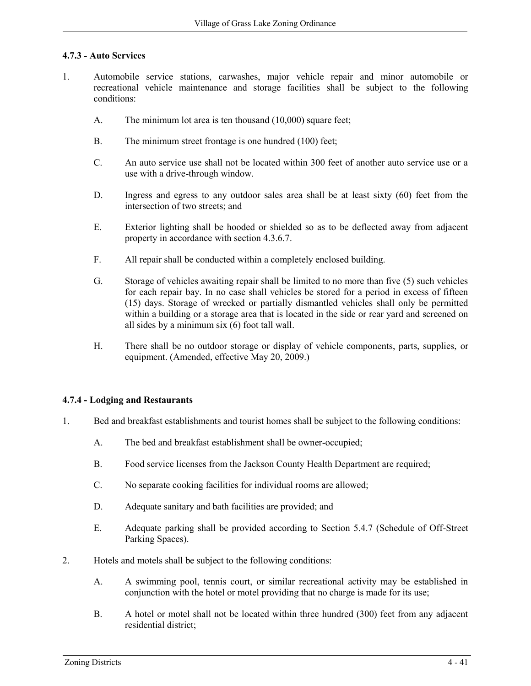#### **4.7.3 - Auto Services**

- 1. Automobile service stations, carwashes, major vehicle repair and minor automobile or recreational vehicle maintenance and storage facilities shall be subject to the following conditions:
	- A. The minimum lot area is ten thousand (10,000) square feet;
	- B. The minimum street frontage is one hundred (100) feet;
	- C. An auto service use shall not be located within 300 feet of another auto service use or a use with a drive-through window.
	- D. Ingress and egress to any outdoor sales area shall be at least sixty (60) feet from the intersection of two streets; and
	- E. Exterior lighting shall be hooded or shielded so as to be deflected away from adjacent property in accordance with section 4.3.6.7.
	- F. All repair shall be conducted within a completely enclosed building.
	- G. Storage of vehicles awaiting repair shall be limited to no more than five (5) such vehicles for each repair bay. In no case shall vehicles be stored for a period in excess of fifteen (15) days. Storage of wrecked or partially dismantled vehicles shall only be permitted within a building or a storage area that is located in the side or rear yard and screened on all sides by a minimum six (6) foot tall wall.
	- H. There shall be no outdoor storage or display of vehicle components, parts, supplies, or equipment. (Amended, effective May 20, 2009.)

#### **4.7.4 - Lodging and Restaurants**

- 1. Bed and breakfast establishments and tourist homes shall be subject to the following conditions:
	- A. The bed and breakfast establishment shall be owner-occupied;
	- B. Food service licenses from the Jackson County Health Department are required;
	- C. No separate cooking facilities for individual rooms are allowed;
	- D. Adequate sanitary and bath facilities are provided; and
	- E. Adequate parking shall be provided according to Section 5.4.7 (Schedule of Off-Street Parking Spaces).
- 2. Hotels and motels shall be subject to the following conditions:
	- A. A swimming pool, tennis court, or similar recreational activity may be established in conjunction with the hotel or motel providing that no charge is made for its use;
	- B. A hotel or motel shall not be located within three hundred (300) feet from any adjacent residential district;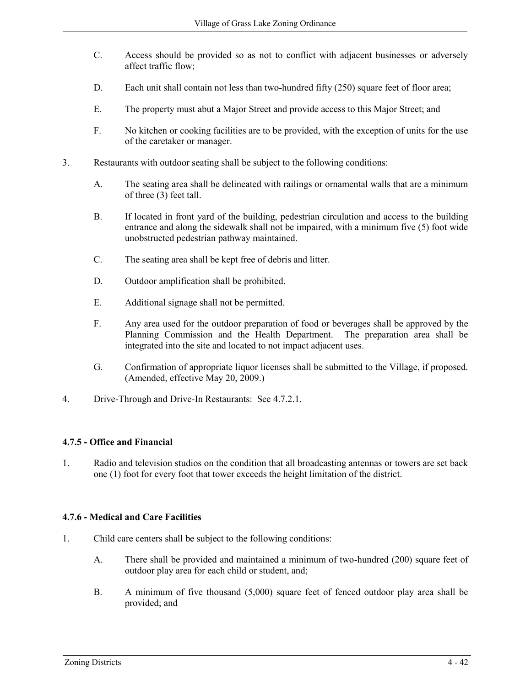- C. Access should be provided so as not to conflict with adjacent businesses or adversely affect traffic flow;
- D. Each unit shall contain not less than two-hundred fifty (250) square feet of floor area;
- E. The property must abut a Major Street and provide access to this Major Street; and
- F. No kitchen or cooking facilities are to be provided, with the exception of units for the use of the caretaker or manager.
- 3. Restaurants with outdoor seating shall be subject to the following conditions:
	- A. The seating area shall be delineated with railings or ornamental walls that are a minimum of three (3) feet tall.
	- B. If located in front yard of the building, pedestrian circulation and access to the building entrance and along the sidewalk shall not be impaired, with a minimum five (5) foot wide unobstructed pedestrian pathway maintained.
	- C. The seating area shall be kept free of debris and litter.
	- D. Outdoor amplification shall be prohibited.
	- E. Additional signage shall not be permitted.
	- F. Any area used for the outdoor preparation of food or beverages shall be approved by the Planning Commission and the Health Department. The preparation area shall be integrated into the site and located to not impact adjacent uses.
	- G. Confirmation of appropriate liquor licenses shall be submitted to the Village, if proposed. (Amended, effective May 20, 2009.)
- 4. Drive-Through and Drive-In Restaurants: See 4.7.2.1.

# **4.7.5 - Office and Financial**

1. Radio and television studios on the condition that all broadcasting antennas or towers are set back one (1) foot for every foot that tower exceeds the height limitation of the district.

# **4.7.6 - Medical and Care Facilities**

- 1. Child care centers shall be subject to the following conditions:
	- A. There shall be provided and maintained a minimum of two-hundred (200) square feet of outdoor play area for each child or student, and;
	- B. A minimum of five thousand (5,000) square feet of fenced outdoor play area shall be provided; and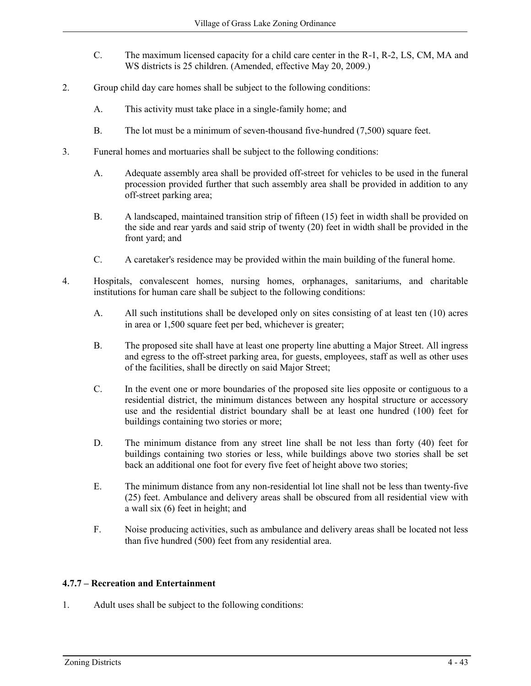- C. The maximum licensed capacity for a child care center in the R-1, R-2, LS, CM, MA and WS districts is 25 children. (Amended, effective May 20, 2009.)
- 2. Group child day care homes shall be subject to the following conditions:
	- A. This activity must take place in a single-family home; and
	- B. The lot must be a minimum of seven-thousand five-hundred (7,500) square feet.
- 3. Funeral homes and mortuaries shall be subject to the following conditions:
	- A. Adequate assembly area shall be provided off-street for vehicles to be used in the funeral procession provided further that such assembly area shall be provided in addition to any off-street parking area;
	- B. A landscaped, maintained transition strip of fifteen (15) feet in width shall be provided on the side and rear yards and said strip of twenty (20) feet in width shall be provided in the front yard; and
	- C. A caretaker's residence may be provided within the main building of the funeral home.
- 4. Hospitals, convalescent homes, nursing homes, orphanages, sanitariums, and charitable institutions for human care shall be subject to the following conditions:
	- A. All such institutions shall be developed only on sites consisting of at least ten (10) acres in area or 1,500 square feet per bed, whichever is greater;
	- B. The proposed site shall have at least one property line abutting a Major Street. All ingress and egress to the off-street parking area, for guests, employees, staff as well as other uses of the facilities, shall be directly on said Major Street;
	- C. In the event one or more boundaries of the proposed site lies opposite or contiguous to a residential district, the minimum distances between any hospital structure or accessory use and the residential district boundary shall be at least one hundred (100) feet for buildings containing two stories or more;
	- D. The minimum distance from any street line shall be not less than forty (40) feet for buildings containing two stories or less, while buildings above two stories shall be set back an additional one foot for every five feet of height above two stories;
	- E. The minimum distance from any non-residential lot line shall not be less than twenty-five (25) feet. Ambulance and delivery areas shall be obscured from all residential view with a wall six (6) feet in height; and
	- F. Noise producing activities, such as ambulance and delivery areas shall be located not less than five hundred (500) feet from any residential area.

# **4.7.7 – Recreation and Entertainment**

1. Adult uses shall be subject to the following conditions: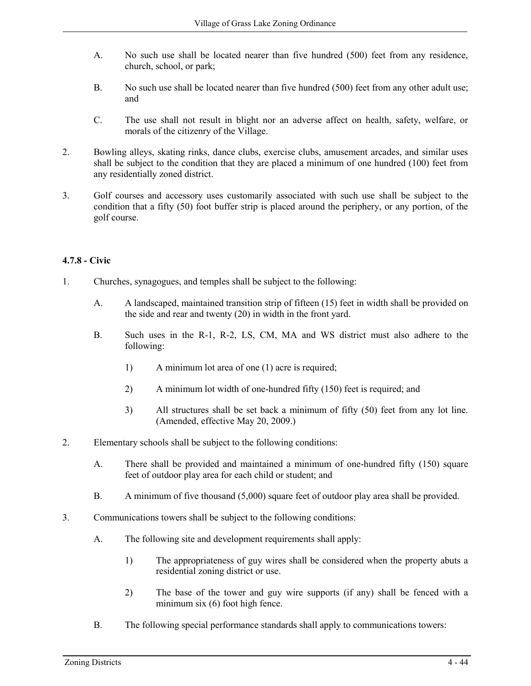- A. No such use shall be located nearer than five hundred (500) feet from any residence, church, school, or park;
- B. No such use shall be located nearer than five hundred (500) feet from any other adult use; and
- C. The use shall not result in blight nor an adverse affect on health, safety, welfare, or morals of the citizenry of the Village.
- 2. Bowling alleys, skating rinks, dance clubs, exercise clubs, amusement arcades, and similar uses shall be subject to the condition that they are placed a minimum of one hundred (100) feet from any residentially zoned district.
- 3. Golf courses and accessory uses customarily associated with such use shall be subject to the condition that a fifty (50) foot buffer strip is placed around the periphery, or any portion, of the golf course.

# **4.7.8 - Civic**

- 1. Churches, synagogues, and temples shall be subject to the following:
	- A. A landscaped, maintained transition strip of fifteen (15) feet in width shall be provided on the side and rear and twenty (20) in width in the front yard.
	- B. Such uses in the R-1, R-2, LS, CM, MA and WS district must also adhere to the following:
		- 1) A minimum lot area of one (1) acre is required;
		- 2) A minimum lot width of one-hundred fifty (150) feet is required; and
		- 3) All structures shall be set back a minimum of fifty (50) feet from any lot line. (Amended, effective May 20, 2009.)
- 2. Elementary schools shall be subject to the following conditions:
	- A. There shall be provided and maintained a minimum of one-hundred fifty (150) square feet of outdoor play area for each child or student; and
	- B. A minimum of five thousand (5,000) square feet of outdoor play area shall be provided.
- 3. Communications towers shall be subject to the following conditions:
	- A. The following site and development requirements shall apply:
		- 1) The appropriateness of guy wires shall be considered when the property abuts a residential zoning district or use.
		- 2) The base of the tower and guy wire supports (if any) shall be fenced with a minimum six (6) foot high fence.
	- B. The following special performance standards shall apply to communications towers: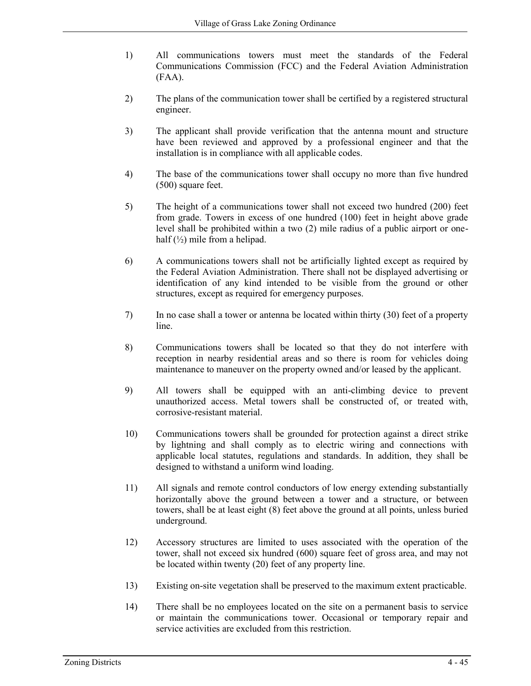- 1) All communications towers must meet the standards of the Federal Communications Commission (FCC) and the Federal Aviation Administration (FAA).
- 2) The plans of the communication tower shall be certified by a registered structural engineer.
- 3) The applicant shall provide verification that the antenna mount and structure have been reviewed and approved by a professional engineer and that the installation is in compliance with all applicable codes.
- 4) The base of the communications tower shall occupy no more than five hundred (500) square feet.
- 5) The height of a communications tower shall not exceed two hundred (200) feet from grade. Towers in excess of one hundred (100) feet in height above grade level shall be prohibited within a two (2) mile radius of a public airport or onehalf  $(\frac{1}{2})$  mile from a helipad.
- 6) A communications towers shall not be artificially lighted except as required by the Federal Aviation Administration. There shall not be displayed advertising or identification of any kind intended to be visible from the ground or other structures, except as required for emergency purposes.
- 7) In no case shall a tower or antenna be located within thirty (30) feet of a property line.
- 8) Communications towers shall be located so that they do not interfere with reception in nearby residential areas and so there is room for vehicles doing maintenance to maneuver on the property owned and/or leased by the applicant.
- 9) All towers shall be equipped with an anti-climbing device to prevent unauthorized access. Metal towers shall be constructed of, or treated with, corrosive-resistant material.
- 10) Communications towers shall be grounded for protection against a direct strike by lightning and shall comply as to electric wiring and connections with applicable local statutes, regulations and standards. In addition, they shall be designed to withstand a uniform wind loading.
- 11) All signals and remote control conductors of low energy extending substantially horizontally above the ground between a tower and a structure, or between towers, shall be at least eight (8) feet above the ground at all points, unless buried underground.
- 12) Accessory structures are limited to uses associated with the operation of the tower, shall not exceed six hundred (600) square feet of gross area, and may not be located within twenty (20) feet of any property line.
- 13) Existing on-site vegetation shall be preserved to the maximum extent practicable.
- 14) There shall be no employees located on the site on a permanent basis to service or maintain the communications tower. Occasional or temporary repair and service activities are excluded from this restriction.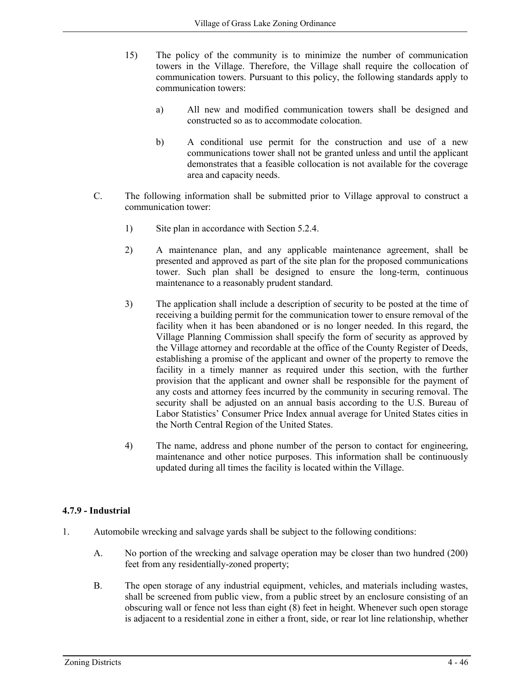- 15) The policy of the community is to minimize the number of communication towers in the Village. Therefore, the Village shall require the collocation of communication towers. Pursuant to this policy, the following standards apply to communication towers:
	- a) All new and modified communication towers shall be designed and constructed so as to accommodate colocation.
	- b) A conditional use permit for the construction and use of a new communications tower shall not be granted unless and until the applicant demonstrates that a feasible collocation is not available for the coverage area and capacity needs.
- C. The following information shall be submitted prior to Village approval to construct a communication tower:
	- 1) Site plan in accordance with Section 5.2.4.
	- 2) A maintenance plan, and any applicable maintenance agreement, shall be presented and approved as part of the site plan for the proposed communications tower. Such plan shall be designed to ensure the long-term, continuous maintenance to a reasonably prudent standard.
	- 3) The application shall include a description of security to be posted at the time of receiving a building permit for the communication tower to ensure removal of the facility when it has been abandoned or is no longer needed. In this regard, the Village Planning Commission shall specify the form of security as approved by the Village attorney and recordable at the office of the County Register of Deeds, establishing a promise of the applicant and owner of the property to remove the facility in a timely manner as required under this section, with the further provision that the applicant and owner shall be responsible for the payment of any costs and attorney fees incurred by the community in securing removal. The security shall be adjusted on an annual basis according to the U.S. Bureau of Labor Statistics' Consumer Price Index annual average for United States cities in the North Central Region of the United States.
	- 4) The name, address and phone number of the person to contact for engineering, maintenance and other notice purposes. This information shall be continuously updated during all times the facility is located within the Village.

#### **4.7.9 - Industrial**

- 1. Automobile wrecking and salvage yards shall be subject to the following conditions:
	- A. No portion of the wrecking and salvage operation may be closer than two hundred (200) feet from any residentially-zoned property;
	- B. The open storage of any industrial equipment, vehicles, and materials including wastes, shall be screened from public view, from a public street by an enclosure consisting of an obscuring wall or fence not less than eight (8) feet in height. Whenever such open storage is adjacent to a residential zone in either a front, side, or rear lot line relationship, whether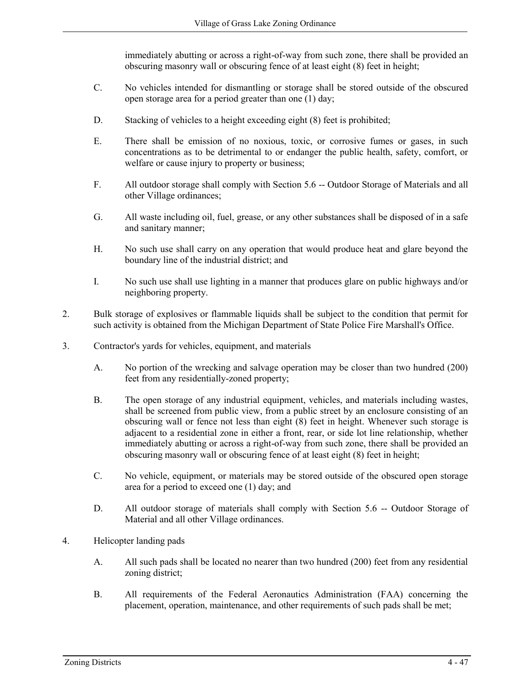immediately abutting or across a right-of-way from such zone, there shall be provided an obscuring masonry wall or obscuring fence of at least eight (8) feet in height;

- C. No vehicles intended for dismantling or storage shall be stored outside of the obscured open storage area for a period greater than one (1) day;
- D. Stacking of vehicles to a height exceeding eight (8) feet is prohibited;
- E. There shall be emission of no noxious, toxic, or corrosive fumes or gases, in such concentrations as to be detrimental to or endanger the public health, safety, comfort, or welfare or cause injury to property or business;
- F. All outdoor storage shall comply with Section 5.6 -- Outdoor Storage of Materials and all other Village ordinances;
- G. All waste including oil, fuel, grease, or any other substances shall be disposed of in a safe and sanitary manner;
- H. No such use shall carry on any operation that would produce heat and glare beyond the boundary line of the industrial district; and
- I. No such use shall use lighting in a manner that produces glare on public highways and/or neighboring property.
- 2. Bulk storage of explosives or flammable liquids shall be subject to the condition that permit for such activity is obtained from the Michigan Department of State Police Fire Marshall's Office.
- 3. Contractor's yards for vehicles, equipment, and materials
	- A. No portion of the wrecking and salvage operation may be closer than two hundred (200) feet from any residentially-zoned property;
	- B. The open storage of any industrial equipment, vehicles, and materials including wastes, shall be screened from public view, from a public street by an enclosure consisting of an obscuring wall or fence not less than eight (8) feet in height. Whenever such storage is adjacent to a residential zone in either a front, rear, or side lot line relationship, whether immediately abutting or across a right-of-way from such zone, there shall be provided an obscuring masonry wall or obscuring fence of at least eight (8) feet in height;
	- C. No vehicle, equipment, or materials may be stored outside of the obscured open storage area for a period to exceed one (1) day; and
	- D. All outdoor storage of materials shall comply with Section 5.6 -- Outdoor Storage of Material and all other Village ordinances.
- 4. Helicopter landing pads
	- A. All such pads shall be located no nearer than two hundred (200) feet from any residential zoning district;
	- B. All requirements of the Federal Aeronautics Administration (FAA) concerning the placement, operation, maintenance, and other requirements of such pads shall be met;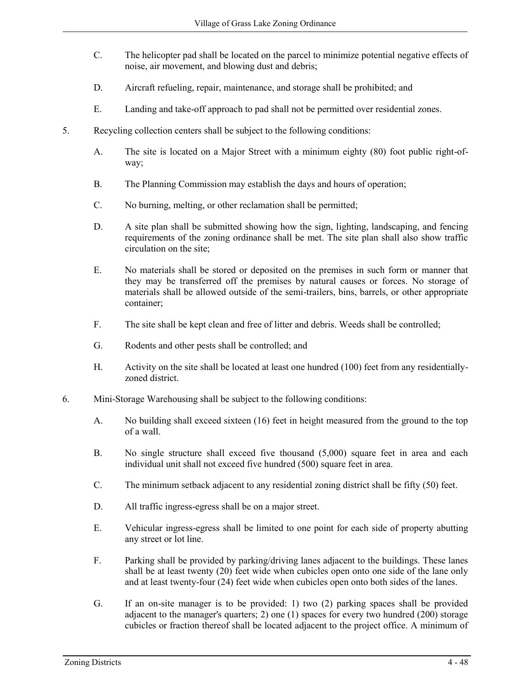- C. The helicopter pad shall be located on the parcel to minimize potential negative effects of noise, air movement, and blowing dust and debris;
- D. Aircraft refueling, repair, maintenance, and storage shall be prohibited; and
- E. Landing and take-off approach to pad shall not be permitted over residential zones.
- 5. Recycling collection centers shall be subject to the following conditions:
	- A. The site is located on a Major Street with a minimum eighty (80) foot public right-ofway;
	- B. The Planning Commission may establish the days and hours of operation;
	- C. No burning, melting, or other reclamation shall be permitted;
	- D. A site plan shall be submitted showing how the sign, lighting, landscaping, and fencing requirements of the zoning ordinance shall be met. The site plan shall also show traffic circulation on the site;
	- E. No materials shall be stored or deposited on the premises in such form or manner that they may be transferred off the premises by natural causes or forces. No storage of materials shall be allowed outside of the semi-trailers, bins, barrels, or other appropriate container;
	- F. The site shall be kept clean and free of litter and debris. Weeds shall be controlled;
	- G. Rodents and other pests shall be controlled; and
	- H. Activity on the site shall be located at least one hundred (100) feet from any residentiallyzoned district.
- 6. Mini-Storage Warehousing shall be subject to the following conditions:
	- A. No building shall exceed sixteen (16) feet in height measured from the ground to the top of a wall.
	- B. No single structure shall exceed five thousand (5,000) square feet in area and each individual unit shall not exceed five hundred (500) square feet in area.
	- C. The minimum setback adjacent to any residential zoning district shall be fifty (50) feet.
	- D. All traffic ingress-egress shall be on a major street.
	- E. Vehicular ingress-egress shall be limited to one point for each side of property abutting any street or lot line.
	- F. Parking shall be provided by parking/driving lanes adjacent to the buildings. These lanes shall be at least twenty (20) feet wide when cubicles open onto one side of the lane only and at least twenty-four (24) feet wide when cubicles open onto both sides of the lanes.
	- G. If an on-site manager is to be provided: 1) two (2) parking spaces shall be provided adjacent to the manager's quarters; 2) one (1) spaces for every two hundred (200) storage cubicles or fraction thereof shall be located adjacent to the project office. A minimum of